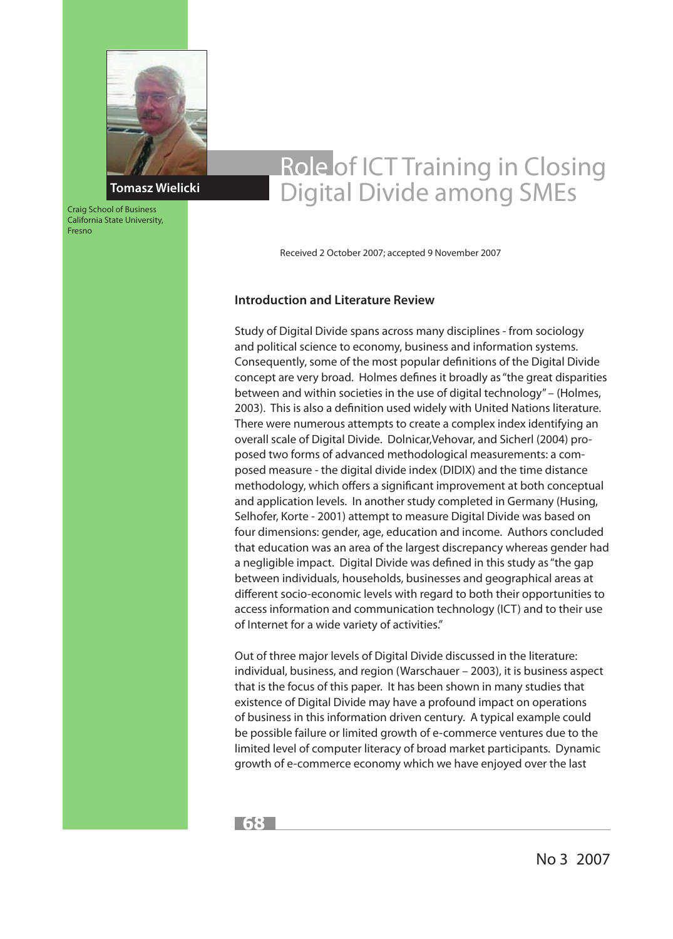

Craig School of Business California State University,

Fresno

# Role of ICT Training in Closing Digital Divide among SMEs

Received 2 October 2007; accepted 9 November 2007

## **Introduction and Literature Review**

Study of Digital Divide spans across many disciplines - from sociology and political science to economy, business and information systems. Consequently, some of the most popular definitions of the Digital Divide concept are very broad. Holmes defines it broadly as "the great disparities between and within societies in the use of digital technology" – (Holmes, 2003). This is also a definition used widely with United Nations literature. There were numerous attempts to create a complex index identifying an overall scale of Digital Divide. Dolnicar,Vehovar, and Sicherl (2004) proposed two forms of advanced methodological measurements: a composed measure - the digital divide index (DIDIX) and the time distance methodology, which offers a significant improvement at both conceptual and application levels. In another study completed in Germany (Husing, Selhofer, Korte - 2001) attempt to measure Digital Divide was based on four dimensions: gender, age, education and income. Authors concluded that education was an area of the largest discrepancy whereas gender had a negligible impact. Digital Divide was defined in this study as "the gap between individuals, households, businesses and geographical areas at different socio-economic levels with regard to both their opportunities to access information and communication technology (ICT) and to their use of Internet for a wide variety of activities."

Out of three major levels of Digital Divide discussed in the literature: individual, business, and region (Warschauer – 2003), it is business aspect that is the focus of this paper. It has been shown in many studies that existence of Digital Divide may have a profound impact on operations of business in this information driven century. A typical example could be possible failure or limited growth of e-commerce ventures due to the limited level of computer literacy of broad market participants. Dynamic growth of e-commerce economy which we have enjoyed over the last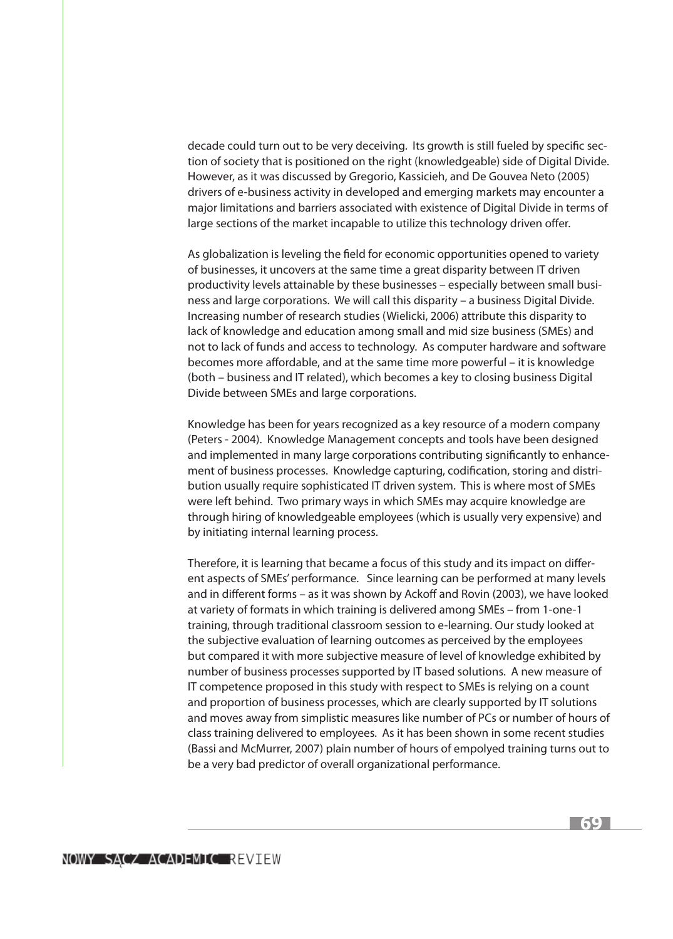decade could turn out to be very deceiving. Its growth is still fueled by specific section of society that is positioned on the right (knowledgeable) side of Digital Divide. However, as it was discussed by Gregorio, Kassicieh, and De Gouvea Neto (2005) drivers of e-business activity in developed and emerging markets may encounter a major limitations and barriers associated with existence of Digital Divide in terms of large sections of the market incapable to utilize this technology driven offer.

As globalization is leveling the field for economic opportunities opened to variety of businesses, it uncovers at the same time a great disparity between IT driven productivity levels attainable by these businesses – especially between small business and large corporations. We will call this disparity – a business Digital Divide. Increasing number of research studies (Wielicki, 2006) attribute this disparity to lack of knowledge and education among small and mid size business (SMEs) and not to lack of funds and access to technology. As computer hardware and software becomes more affordable, and at the same time more powerful – it is knowledge (both – business and IT related), which becomes a key to closing business Digital Divide between SMEs and large corporations.

Knowledge has been for years recognized as a key resource of a modern company (Peters - 2004). Knowledge Management concepts and tools have been designed and implemented in many large corporations contributing significantly to enhancement of business processes. Knowledge capturing, codification, storing and distribution usually require sophisticated IT driven system. This is where most of SMEs were left behind. Two primary ways in which SMEs may acquire knowledge are through hiring of knowledgeable employees (which is usually very expensive) and by initiating internal learning process.

Therefore, it is learning that became a focus of this study and its impact on different aspects of SMEs' performance. Since learning can be performed at many levels and in different forms – as it was shown by Ackoff and Rovin (2003), we have looked at variety of formats in which training is delivered among SMEs – from 1-one-1 training, through traditional classroom session to e-learning. Our study looked at the subjective evaluation of learning outcomes as perceived by the employees but compared it with more subjective measure of level of knowledge exhibited by number of business processes supported by IT based solutions. A new measure of IT competence proposed in this study with respect to SMEs is relying on a count and proportion of business processes, which are clearly supported by IT solutions and moves away from simplistic measures like number of PCs or number of hours of class training delivered to employees. As it has been shown in some recent studies (Bassi and McMurrer, 2007) plain number of hours of empolyed training turns out to be a very bad predictor of overall organizational performance.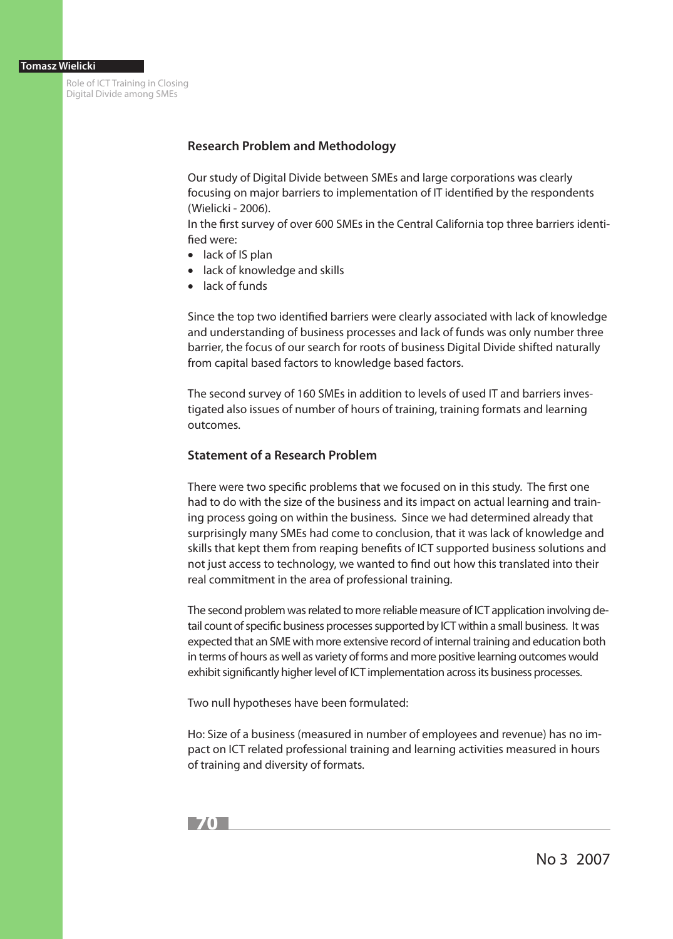## **Research Problem and Methodology**

Our study of Digital Divide between SMEs and large corporations was clearly focusing on major barriers to implementation of IT identified by the respondents (Wielicki - 2006).

In the first survey of over 600 SMEs in the Central California top three barriers identified were:

- lack of IS plan
- lack of knowledge and skills
- lack of funds

Since the top two identified barriers were clearly associated with lack of knowledge and understanding of business processes and lack of funds was only number three barrier, the focus of our search for roots of business Digital Divide shifted naturally from capital based factors to knowledge based factors.

The second survey of 160 SMEs in addition to levels of used IT and barriers investigated also issues of number of hours of training, training formats and learning outcomes.

# **Statement of a Research Problem**

There were two specific problems that we focused on in this study. The first one had to do with the size of the business and its impact on actual learning and training process going on within the business. Since we had determined already that surprisingly many SMEs had come to conclusion, that it was lack of knowledge and skills that kept them from reaping benefits of ICT supported business solutions and not just access to technology, we wanted to find out how this translated into their real commitment in the area of professional training.

The second problem was related to more reliable measure of ICT application involving detail count of specific business processes supported by ICT within a small business. It was expected that an SME with more extensive record of internal training and education both in terms of hours as well as variety of forms and more positive learning outcomes would exhibit significantly higher level of ICT implementation across its business processes.

Two null hypotheses have been formulated:

Ho: Size of a business (measured in number of employees and revenue) has no impact on ICT related professional training and learning activities measured in hours of training and diversity of formats.

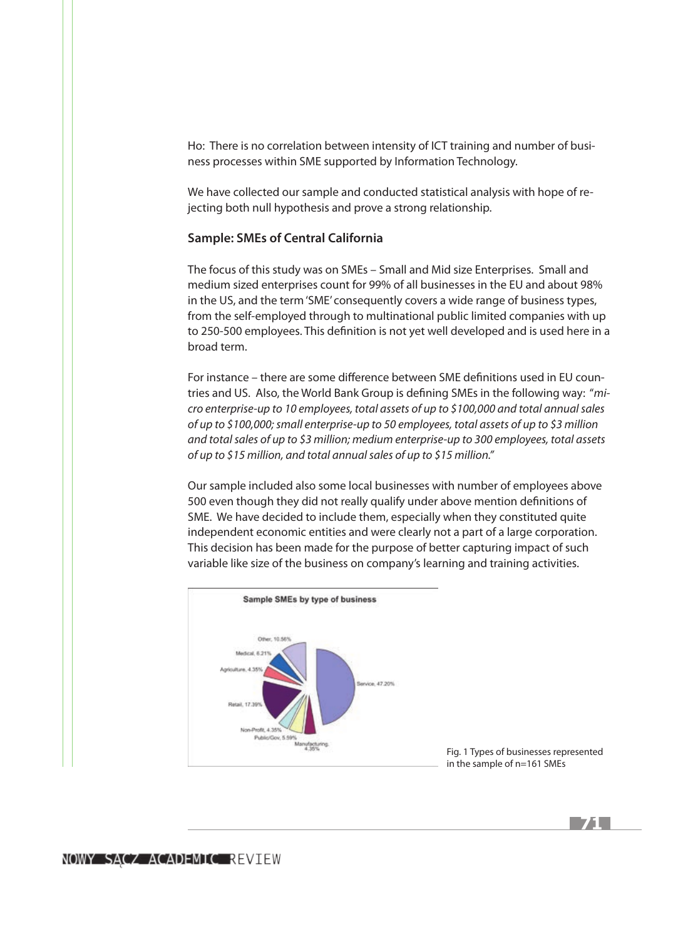Ho: There is no correlation between intensity of ICT training and number of business processes within SME supported by Information Technology.

We have collected our sample and conducted statistical analysis with hope of rejecting both null hypothesis and prove a strong relationship.

## **Sample: SMEs of Central California**

The focus of this study was on SMEs – Small and Mid size Enterprises. Small and medium sized enterprises count for 99% of all businesses in the EU and about 98% in the US, and the term 'SME' consequently covers a wide range of business types, from the self-employed through to multinational public limited companies with up to 250-500 employees. This definition is not yet well developed and is used here in a broad term.

For instance – there are some difference between SME definitions used in EU countries and US. Also, the World Bank Group is defining SMEs in the following way: "*micro enterprise-up to 10 employees, total assets of up to \$100,000 and total annual sales of up to \$100,000; small enterprise-up to 50 employees, total assets of up to \$3 million and total sales of up to \$3 million; medium enterprise-up to 300 employees, total assets of up to \$15 million, and total annual sales of up to \$15 million."*

Our sample included also some local businesses with number of employees above 500 even though they did not really qualify under above mention definitions of SME. We have decided to include them, especially when they constituted quite independent economic entities and were clearly not a part of a large corporation. This decision has been made for the purpose of better capturing impact of such variable like size of the business on company's learning and training activities.



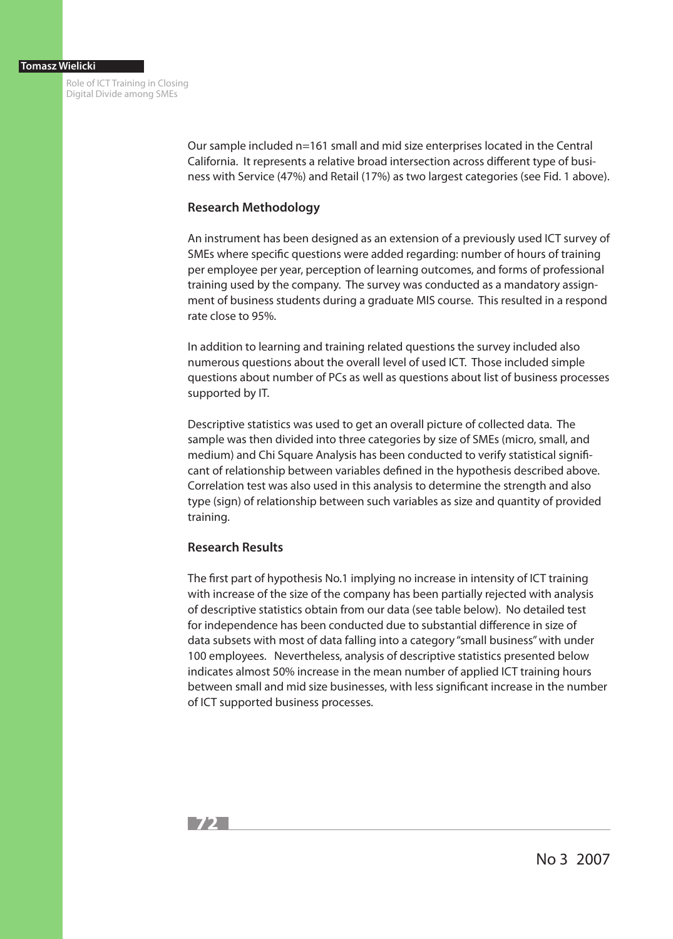> Our sample included n=161 small and mid size enterprises located in the Central California. It represents a relative broad intersection across different type of business with Service (47%) and Retail (17%) as two largest categories (see Fid. 1 above).

# **Research Methodology**

An instrument has been designed as an extension of a previously used ICT survey of SMEs where specific questions were added regarding: number of hours of training per employee per year, perception of learning outcomes, and forms of professional training used by the company. The survey was conducted as a mandatory assignment of business students during a graduate MIS course. This resulted in a respond rate close to 95%.

In addition to learning and training related questions the survey included also numerous questions about the overall level of used ICT. Those included simple questions about number of PCs as well as questions about list of business processes supported by IT.

Descriptive statistics was used to get an overall picture of collected data. The sample was then divided into three categories by size of SMEs (micro, small, and medium) and Chi Square Analysis has been conducted to verify statistical significant of relationship between variables defined in the hypothesis described above. Correlation test was also used in this analysis to determine the strength and also type (sign) of relationship between such variables as size and quantity of provided training.

# **Research Results**

The first part of hypothesis No.1 implying no increase in intensity of ICT training with increase of the size of the company has been partially rejected with analysis of descriptive statistics obtain from our data (see table below). No detailed test for independence has been conducted due to substantial difference in size of data subsets with most of data falling into a category "small business" with under 100 employees. Nevertheless, analysis of descriptive statistics presented below indicates almost 50% increase in the mean number of applied ICT training hours between small and mid size businesses, with less significant increase in the number of ICT supported business processes.



No 3 2007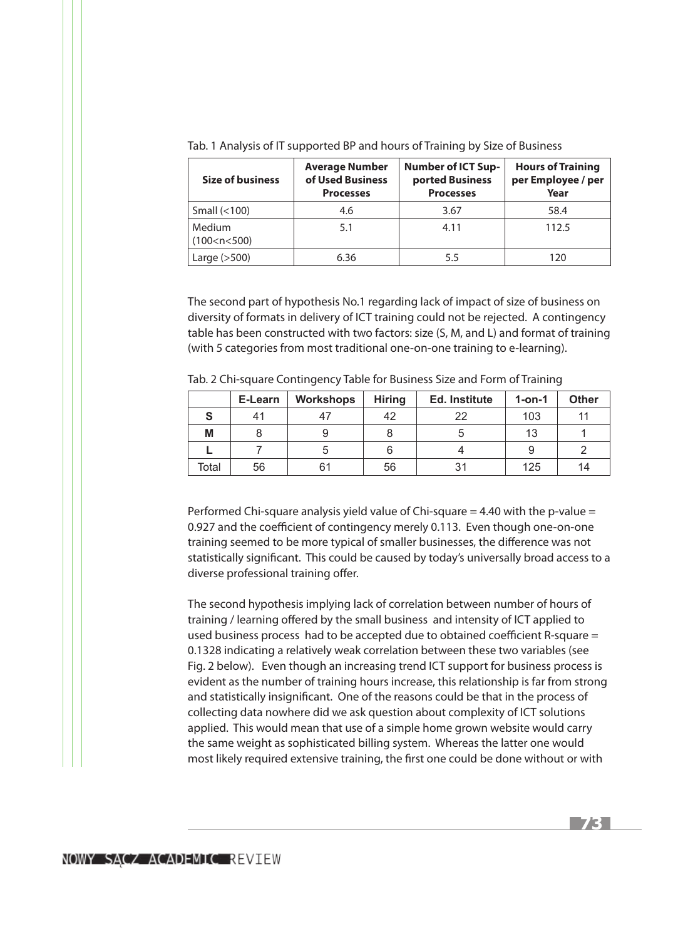| <b>Size of business</b>   | <b>Average Number</b><br>of Used Business<br><b>Processes</b> | <b>Number of ICT Sup-</b><br>ported Business<br><b>Processes</b> | <b>Hours of Training</b><br>per Employee / per<br>Year |  |
|---------------------------|---------------------------------------------------------------|------------------------------------------------------------------|--------------------------------------------------------|--|
| Small $(<100)$            | 4.6                                                           | 3.67                                                             | 58.4                                                   |  |
| Medium<br>(100 < n < 500) | 5.1                                                           | 4.11                                                             | 112.5                                                  |  |
| Large $(>500)$            | 6.36                                                          | 5.5                                                              | 120                                                    |  |

Tab. 1 Analysis of IT supported BP and hours of Training by Size of Business

The second part of hypothesis No.1 regarding lack of impact of size of business on diversity of formats in delivery of ICT training could not be rejected. A contingency table has been constructed with two factors: size (S, M, and L) and format of training (with 5 categories from most traditional one-on-one training to e-learning).

|  | Tab. 2 Chi-square Contingency Table for Business Size and Form of Training |
|--|----------------------------------------------------------------------------|
|--|----------------------------------------------------------------------------|

|       | E-Learn | Workshops | <b>Hiring</b> | Ed. Institute | $1$ -on-1 | <b>Other</b> |
|-------|---------|-----------|---------------|---------------|-----------|--------------|
|       | 41      |           | 42            | 22            | 103       |              |
| Μ     |         |           |               |               | 13        |              |
|       |         |           |               |               |           |              |
| Total | 56      | 61        | 56            | 31            | 125       | 14           |

Performed Chi-square analysis yield value of Chi-square = 4.40 with the p-value = 0.927 and the coefficient of contingency merely 0.113. Even though one-on-one training seemed to be more typical of smaller businesses, the difference was not statistically significant. This could be caused by today's universally broad access to a diverse professional training offer.

The second hypothesis implying lack of correlation between number of hours of training / learning offered by the small business and intensity of ICT applied to used business process had to be accepted due to obtained coefficient R-square = 0.1328 indicating a relatively weak correlation between these two variables (see Fig. 2 below). Even though an increasing trend ICT support for business process is evident as the number of training hours increase, this relationship is far from strong and statistically insignificant. One of the reasons could be that in the process of collecting data nowhere did we ask question about complexity of ICT solutions applied. This would mean that use of a simple home grown website would carry the same weight as sophisticated billing system. Whereas the latter one would most likely required extensive training, the first one could be done without or with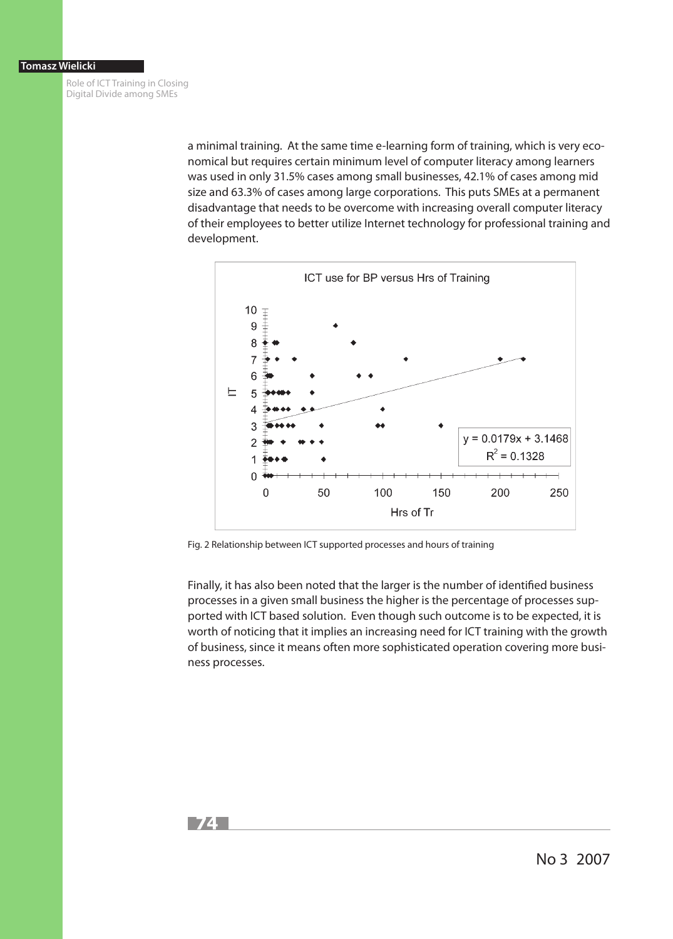> a minimal training. At the same time e-learning form of training, which is very economical but requires certain minimum level of computer literacy among learners was used in only 31.5% cases among small businesses, 42.1% of cases among mid size and 63.3% of cases among large corporations. This puts SMEs at a permanent disadvantage that needs to be overcome with increasing overall computer literacy of their employees to better utilize Internet technology for professional training and development.



Fig. 2 Relationship between ICT supported processes and hours of training

Finally, it has also been noted that the larger is the number of identified business processes in a given small business the higher is the percentage of processes supported with ICT based solution. Even though such outcome is to be expected, it is worth of noticing that it implies an increasing need for ICT training with the growth of business, since it means often more sophisticated operation covering more business processes.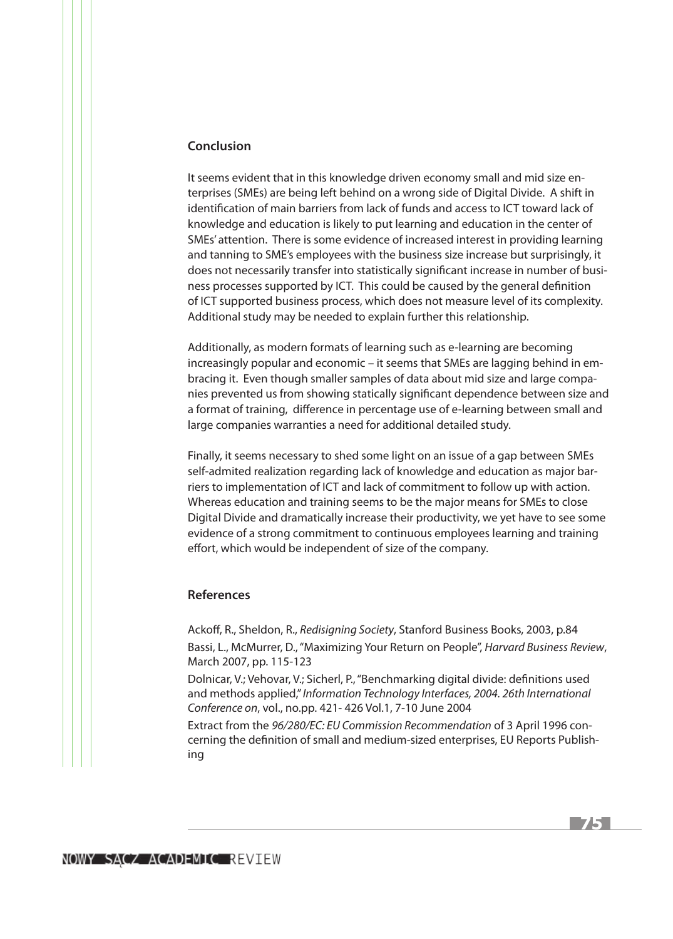#### **Conclusion**

It seems evident that in this knowledge driven economy small and mid size enterprises (SMEs) are being left behind on a wrong side of Digital Divide. A shift in identification of main barriers from lack of funds and access to ICT toward lack of knowledge and education is likely to put learning and education in the center of SMEs' attention. There is some evidence of increased interest in providing learning and tanning to SME's employees with the business size increase but surprisingly, it does not necessarily transfer into statistically significant increase in number of business processes supported by ICT. This could be caused by the general definition of ICT supported business process, which does not measure level of its complexity. Additional study may be needed to explain further this relationship.

Additionally, as modern formats of learning such as e-learning are becoming increasingly popular and economic – it seems that SMEs are lagging behind in embracing it. Even though smaller samples of data about mid size and large companies prevented us from showing statically significant dependence between size and a format of training, difference in percentage use of e-learning between small and large companies warranties a need for additional detailed study.

Finally, it seems necessary to shed some light on an issue of a gap between SMEs self-admited realization regarding lack of knowledge and education as major barriers to implementation of ICT and lack of commitment to follow up with action. Whereas education and training seems to be the major means for SMEs to close Digital Divide and dramatically increase their productivity, we yet have to see some evidence of a strong commitment to continuous employees learning and training effort, which would be independent of size of the company.

## **References**

Ackoff, R., Sheldon, R., *Redisigning Society*, Stanford Business Books, 2003, p.84 Bassi, L., McMurrer, D., "Maximizing Your Return on People", *Harvard Business Review*, March 2007, pp. 115-123

Dolnicar, V.; Vehovar, V.; Sicherl, P., "Benchmarking digital divide: definitions used and methods applied," *Information Technology Interfaces, 2004. 26th International Conference on*, vol., no.pp. 421- 426 Vol.1, 7-10 June 2004

Extract from the *96/280/EC: EU Commission Recommendation* of 3 April 1996 concerning the definition of small and medium-sized enterprises, EU Reports Publishing